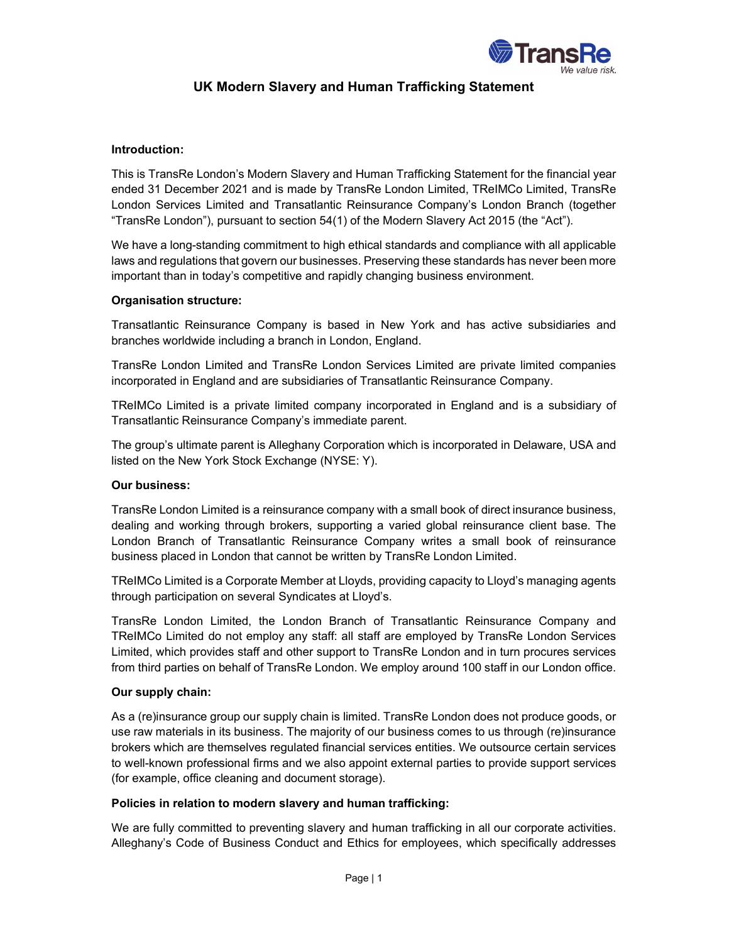

# UK Modern Slavery and Human Trafficking Statement

## Introduction:

This is TransRe London's Modern Slavery and Human Trafficking Statement for the financial year ended 31 December 2021 and is made by TransRe London Limited, TReIMCo Limited, TransRe London Services Limited and Transatlantic Reinsurance Company's London Branch (together "TransRe London"), pursuant to section 54(1) of the Modern Slavery Act 2015 (the "Act").

We have a long-standing commitment to high ethical standards and compliance with all applicable laws and regulations that govern our businesses. Preserving these standards has never been more important than in today's competitive and rapidly changing business environment.

## Organisation structure:

Transatlantic Reinsurance Company is based in New York and has active subsidiaries and branches worldwide including a branch in London, England.

TransRe London Limited and TransRe London Services Limited are private limited companies incorporated in England and are subsidiaries of Transatlantic Reinsurance Company.

TReIMCo Limited is a private limited company incorporated in England and is a subsidiary of Transatlantic Reinsurance Company's immediate parent.

The group's ultimate parent is Alleghany Corporation which is incorporated in Delaware, USA and listed on the New York Stock Exchange (NYSE: Y).

### Our business:

TransRe London Limited is a reinsurance company with a small book of direct insurance business, dealing and working through brokers, supporting a varied global reinsurance client base. The London Branch of Transatlantic Reinsurance Company writes a small book of reinsurance business placed in London that cannot be written by TransRe London Limited.

TReIMCo Limited is a Corporate Member at Lloyds, providing capacity to Lloyd's managing agents through participation on several Syndicates at Lloyd's.

TransRe London Limited, the London Branch of Transatlantic Reinsurance Company and TReIMCo Limited do not employ any staff: all staff are employed by TransRe London Services Limited, which provides staff and other support to TransRe London and in turn procures services from third parties on behalf of TransRe London. We employ around 100 staff in our London office.

### Our supply chain:

As a (re)insurance group our supply chain is limited. TransRe London does not produce goods, or use raw materials in its business. The majority of our business comes to us through (re)insurance brokers which are themselves regulated financial services entities. We outsource certain services to well-known professional firms and we also appoint external parties to provide support services (for example, office cleaning and document storage).

### Policies in relation to modern slavery and human trafficking:

We are fully committed to preventing slavery and human trafficking in all our corporate activities. Alleghany's Code of Business Conduct and Ethics for employees, which specifically addresses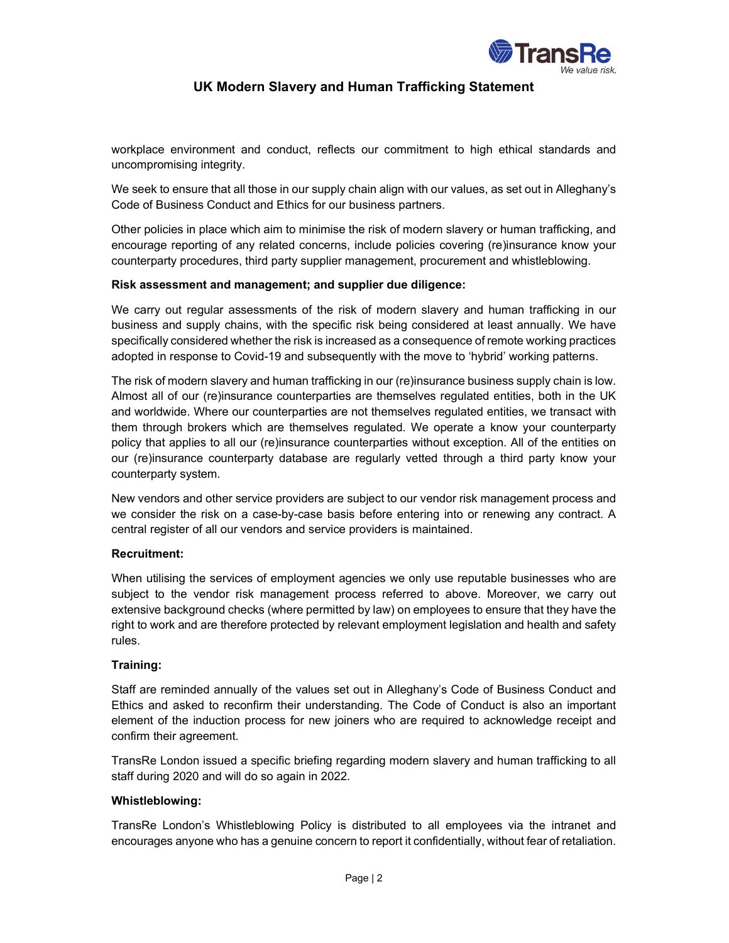

## UK Modern Slavery and Human Trafficking Statement

workplace environment and conduct, reflects our commitment to high ethical standards and uncompromising integrity.

We seek to ensure that all those in our supply chain align with our values, as set out in Alleghany's Code of Business Conduct and Ethics for our business partners.

Other policies in place which aim to minimise the risk of modern slavery or human trafficking, and encourage reporting of any related concerns, include policies covering (re)insurance know your counterparty procedures, third party supplier management, procurement and whistleblowing.

## Risk assessment and management; and supplier due diligence:

We carry out regular assessments of the risk of modern slavery and human trafficking in our business and supply chains, with the specific risk being considered at least annually. We have specifically considered whether the risk is increased as a consequence of remote working practices adopted in response to Covid-19 and subsequently with the move to 'hybrid' working patterns.

The risk of modern slavery and human trafficking in our (re)insurance business supply chain is low. Almost all of our (re)insurance counterparties are themselves regulated entities, both in the UK and worldwide. Where our counterparties are not themselves regulated entities, we transact with them through brokers which are themselves regulated. We operate a know your counterparty policy that applies to all our (re)insurance counterparties without exception. All of the entities on our (re)insurance counterparty database are regularly vetted through a third party know your counterparty system.

New vendors and other service providers are subject to our vendor risk management process and we consider the risk on a case-by-case basis before entering into or renewing any contract. A central register of all our vendors and service providers is maintained.

### Recruitment:

When utilising the services of employment agencies we only use reputable businesses who are subject to the vendor risk management process referred to above. Moreover, we carry out extensive background checks (where permitted by law) on employees to ensure that they have the right to work and are therefore protected by relevant employment legislation and health and safety rules.

### Training:

Staff are reminded annually of the values set out in Alleghany's Code of Business Conduct and Ethics and asked to reconfirm their understanding. The Code of Conduct is also an important element of the induction process for new joiners who are required to acknowledge receipt and confirm their agreement.

TransRe London issued a specific briefing regarding modern slavery and human trafficking to all staff during 2020 and will do so again in 2022.

### Whistleblowing:

TransRe London's Whistleblowing Policy is distributed to all employees via the intranet and encourages anyone who has a genuine concern to report it confidentially, without fear of retaliation.